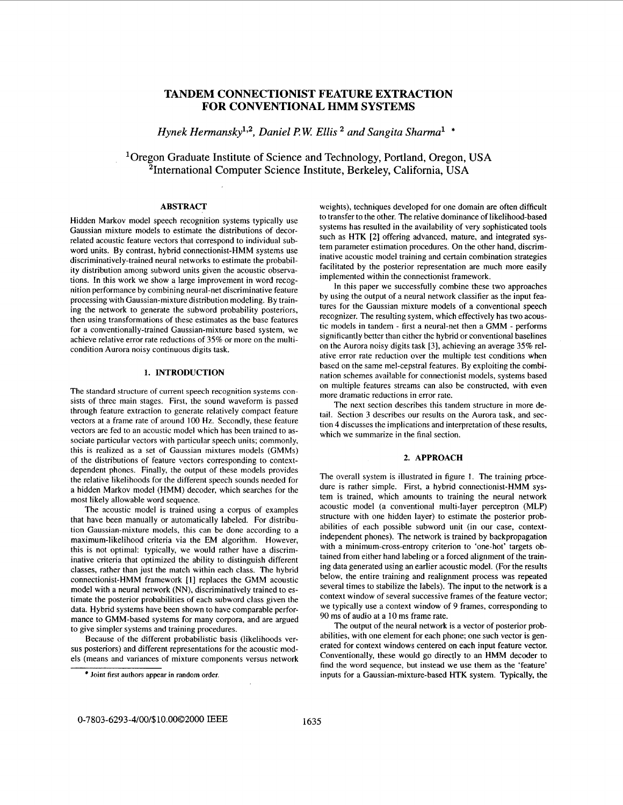# **TANDEM CONNECTIONIST FEATURE EXTRACTION FOR CONVENTIONAL HMM SYSTEMS**

*Hynek Hermansky*<sup>1,2</sup>, Daniel P.W. Ellis<sup>2</sup> and Sangita Sharma<sup>1</sup> \*

'Oregon Graduate Institute of Science and Technology, Portland, Oregon, **USA**  21ntemational Computer Science Institute, Berkeley, California, **USA** 

### **ABSTRACT**

Hidden Markov model speech recognition systems typically use Gaussian mixture models to estimate the distributions of decorrelated acoustic feature vectors that correspond to individual subword units. By contrast, hybrid connectionist-HMM systems use discriminatively-trained neural networks to estimate the probability distribution among subword units given the acoustic observations. In this work we show a large improvement in word recognition performance by combining neural-net discriminative feature processing with Gaussian-mixture distribution modeling. By training the network to generate the subword probability posteriors, then using transformations of these estimates as the base features for a conventionally-trained Gaussian-mixture based system, we achieve relative error rate reductions of 35% or more on the multicondition Aurora noisy continuous digits task.

## **1. INTRODUCTION**

The standard structure **of** current speech recognition systems consists of three main stages. First, the sound waveform is passed through feature extraction to generate relatively compact feature vectors at a frame rate of around 100 Hz. Secondly, these feature vectors are fed to an acoustic model which has been trained to associate particular vectors with particular speech units; commonly, this is realized as a set of Gaussian mixtures models (GMMs) of the distributions of feature vectors corresponding to contextdependent phones. Finally, the output of these models provides the relative likelihoods for the different speech sounds needed for a hidden Markov model (HMM) decoder, which searches for the most likely allowable word sequence.

The acoustic model is trained using a corpus of examples that have been manually or automatically labeled. For distribution Gaussian-mixture models, this can be done according to a maximum-likelihood criteria via the EM algorithm. However, this is not optimal: typically, we would rather have a discriminative criteria that optimized the ability to distinguish different classes, rather than just the match within each class. The hybrid connectionist-HMM framework [ **13** replaces the GMM acoustic model with a neural network (NN), discriminatively trained to estimate the posterior probabilities of each subword class given the data. Hybrid systems have been shown to have comparable performance to GMM-based systems for many corpora, and are argued to give simpler systems and training procedures.

Because of the different probabilistic basis (likelihoods versus posteriors) and different representations for the acoustic models (means and variances of mixture components versus network weights), techniques developed for one domain are often difficult to transfer to the other. The relative dominance of likelihood-based systems has resulted in the availability of very sophisticated tools such as HTK **[2]** offering advanced, mature, and integrated system parameter estimation procedures. On the other hand, discriminative acoustic model training and certain combination strategies facilitated by the posterior representation are much more easily implemented within the connectionist framework.

In this paper we successfully combine these two approaches by using the output of a neural network classifier as the input features for the Gaussian mixture models of a conventional speech recognizer. The resulting system, which effectively has two acoustic models in tandem - first a neural-net then a GMM - performs significantly better than either the hybrid or conventional baselines on the Aurora noisy digits task [3], achieving an average **35%** relative error rate reduction over the multiple test conditions when based on the same mel-cepstral features. By exploiting the combination schemes available for connectionist models, systems based on multiple features streams can also be constructed, with even more dramatic reductions in error rate.

The next section describes this tandem structure in more detail. Section 3 describes our results on the Aurora task, and section **4** discusses the implications and interpretation of these results, which we summarize in the final section.

## **2. APPROACH**

The overall system is illustrated in figure 1. The training procedure is rather simple. First, a hybrid connectionist-HMM system is trained, which amounts to training the neural network acoustic model (a conventional multi-layer perceptron (MLP) structure with one hidden layer) to estimate the posterior probabilities of each possible subword unit (in our case, contextindependent phones). The network is trained by backpropagation with a minimum-cross-entropy criterion to 'one-hot' targets obtained from either hand labeling or a forced alignment of the training data generated using an earlier acoustic model. (For the results below, the entire training and realignment process was repeated several times to stabilize the labels). The input to the network is a context window of several successive frames of the feature vector; we typically use a context window of 9 frames, corresponding to 90 ms of audio at a **10** ms frame rate.

The output of the neural network is a vector of posterior probabilities, with one element for each phone; one such vector is generated for context windows centered on each input feature vector. Conventionally, these would go directly to an HMM decoder to find the word sequence, but instead we use them as the 'feature' inputs for a Gaussian-mixture-based HTK system. Typically, the

Joint **first authors appear** in random **order.**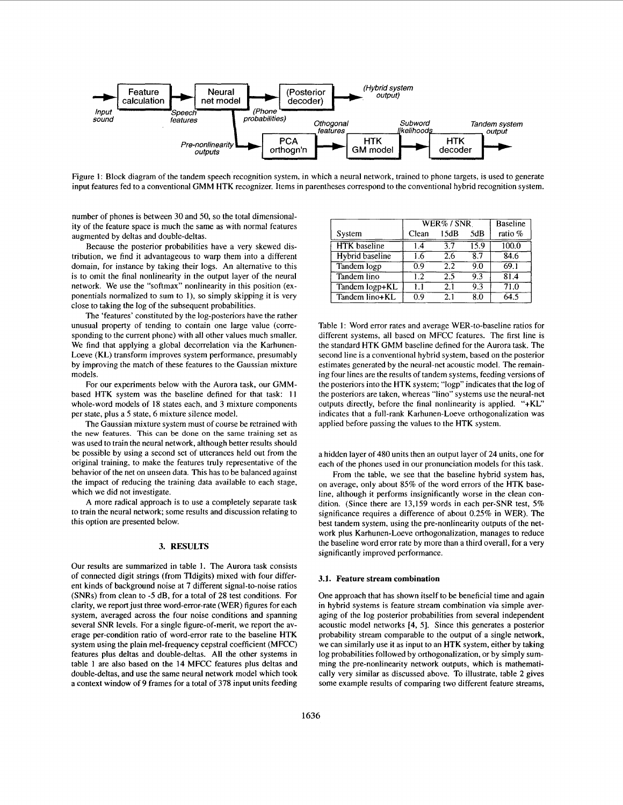

Figure 1: Block diagram of the tandem speech recognition system, in which a neural network, trained to phone targets, is used to generate input features fed to a conventional GMM HTK recognizer. Items in parentheses correspond to the conventional hybrid recognition system.

number of phones is between 30 and 50, so the total dimensionality of the feature space is much the same as with normal features augmented by deltas and double-deltas.

Because the posterior probabilities have a very skewed distribution, we find it advantageous to warp them into a different domain, for instance by taking their logs. An alternative to this is to omit the final nonlinearity in the output layer of the neural network. We use the "softmax" nonlinearity in this position (exponentials normalized to sum to I), so simply skipping it is very close to taking the log of the subsequent probabilities.

The 'features' constituted by the log-posteriors have the rather unusual property of tending to contain one large value (corresponding to the current phone) with all other values much smaller. We find that applying a global decorrelation via the Karhunen-Loeve (KL) transform improves system performance, presumably by improving the match of these features to the Gaussian mixture models.

For our experiments below with the Aurora task, our GMMbased HTK system was the baseline defined for that task: **<sup>11</sup>** whole-word models of 18 states each, and 3 mixture components per state, plus a 5 state, 6 mixture silence model.

The Gaussian mixture system must of course be retrained with the new features. This can be done on the same training set as was used to train the neural network, although better results should be possible by using a second set of utterances held out from the original training, to make the features truly representative of the behavior of the net on unseen data. This has to be balanced against the impact of reducing the training data available to each stage, which we did not investigate.

**A** more radical approach is to use a completely separate task to train the neural network; some results and discussion relating to this option are presented below.

### **3. RESULTS**

Our results are summarized in table **1.** The Aurora task consists of connected digit strings (from Tldigits) mixed with four different kinds of background noise at 7 different signal-to-noise ratios (SNRs) from clean to -5 dB, for a total of 28 test conditions. For clarity, we report just three word-error-rate (WER) figures for each system, averaged across the four noise conditions and spanning several SNR levels. For a single figure-of-merit, we report the average per-condition ratio of word-error rate to the baseline HTK system using the plain mel-frequency cepstral coefficient (MFCC) features plus deltas and double-deltas. All the other systems in table **1** are also based on the 14 MFCC features plus deltas and double-deltas, and use the same neural network model which took a context window of 9 frames for a total of 378 input units feeding

|                     | $WER\%$ / SNR |      |                   | <b>Baseline</b> |  |  |
|---------------------|---------------|------|-------------------|-----------------|--|--|
| System              | Clean         | 15dB | 5dB               | ratio %         |  |  |
| <b>HTK</b> baseline | 14            | 37   | $\overline{15.9}$ | 100.0           |  |  |
| Hybrid baseline     | 1.6           | 2.6  | 8.7               | 84.6            |  |  |
| Tandem logp         | 0.9           | 2.2  | 9.0               | 69.1            |  |  |
| Tandem lino         | 1.2           | 2.5  | 9.3               | 81.4            |  |  |
| Tandem logp+KL      | 1.1           | 21   | 9.3               | 71.0            |  |  |
| Tandem lino+KL      | 0.9           | 2.1  | 8.0               | 64.5            |  |  |

Table **1:** Word error rates and average WER-to-baseline ratios for different systems, all based on MFCC features. The first line is the standard HTK GMM baseline defined for the Aurora task. The second line is a conventional hybrid system, based on the posterior estimates generated by the neural-net acoustic model. The remaining four lines are the results of tandem systems, feeding versions of the posteriors into the HTK system; "logp" indicates that the log of the posteriors are taken, whereas "lino" systems use the neural-net outputs directly, before the final nonlinearity is applied. "+KL" indicates that a full-rank Karhunen-Loeve orthogonalization was applied before passing the values to the HTK system.

a hidden layer of 480 units then an output layer of 24 units, one for each of the phones used in our pronunciation models for this task.

From the table, we see that the baseline hybrid system has, on average, only about 85% of the word errors of the HTK baseline, although it performs insignificantly worse in the clean condition. (Since there are 13,159 words in each per-SNR test, 5% significance requires a difference of about 0.25% in WER). The best tandem system, using the pre-nonlinearity outputs of the network plus Karhunen-Loeve orthogonalization, manages to reduce the baseline word error rate by more than a third overall, for a very significantly improved performance.

#### **3.1. Feature stream combination**

One approach that has shown itself to be beneficial time and again in hybrid systems is feature stream combination via simple averaging of the log posterior probabilities from several independent acoustic model networks **[4, 51.** Since this generates a posterior probability stream comparable to the output of a single network, we can similarly use it as input to an HTK system, either by taking log probabilities followed by orthogonalization, or by simply summing the pre-nonlinearity network outputs, which is mathematically very similar as discussed above. To illustrate, table 2 gives some example results of comparing two different feature streams,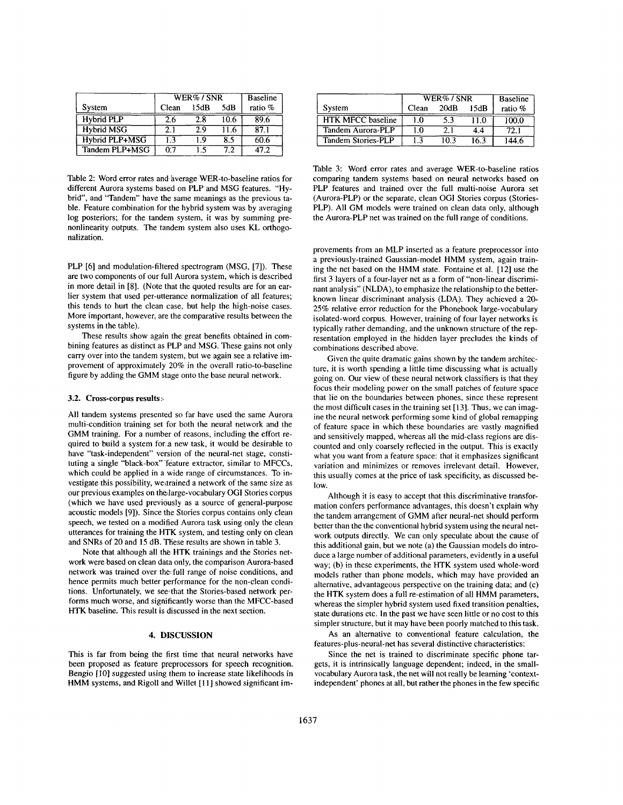|                   | WER%/SNR |      |      | <b>Baseline</b> |  |  |
|-------------------|----------|------|------|-----------------|--|--|
| System            | Clean    | 15dB | 5dB  | ratio %         |  |  |
| <b>Hybrid PLP</b> | 2.6      | 2.8  | 10.6 | 89.6            |  |  |
| <b>Hybrid MSG</b> | 21       | 29   | 11.6 | 87.1            |  |  |
| Hybrid PLP+MSG    | 1.3      | 1.9  | 8.5  | 60.6            |  |  |
| Tandem PLP+MSG    | በ'7      | 1 ร  | 79   | 47 Z            |  |  |

Table 2: Word error rates and average WER-to-baseline ratios for different Aurora systems based on PLP and MSG features. "Hybrid", and "Tandem" have the same meanings as the previous table. Feature combination for the hybrid system was by averaging log posteriors; for the tandem system, it was by summing prenonlinearity outputs. The tandem system also uses KL orthogonalization.

PLP [6] and modulation-filtered spectrogram (MSG, **[7]).** These are two components of our full Aurora system, which is described in more detail in **[8].** (Note that the quoted results are for an earlier system that used per-utterance normalization of all features; this tends to hurt the clean case, but help the high-noise cases. More important, however, are the comparative results between the systems in the table).

These results show again the great benefits obtained in combining features as distinct as PLP and MSG. These gains not only carry over into the tandem system, but we again see a relative improvement of approximately 20% in the overall ratio-to-baseline figure by adding the GMM stage onto the base neural network.

### **3.2. Cross-corpus results:,**

All tandem systems presented so far have used the same Aurora multi-condition training set for both the neural network and the GMM training. For a number of reasons, including the effort required to build a system for a new task, it would be desirable to have "task-independent" version of the neural-net stage, constituting a single "black-box" 'feature extractor, similar to MFCCs, which could be applied in a wide range of circumstances. To investigate this possibility, wettrained a network of the same size as our previous examples on thedarge-vocabulary OGI Stories corpus (which we have used previously as a source of general-purpose acoustic models **[9]).** Since the Stories corpus contains only clean speech, we tested on a modified Aurora task using only the clean utterances for training the HTK system, and testing only on clean and SNRs of 20 and **15** dB. These results are shown in table 3.

Note that although all the HTK trainings and the Stories network were based on clean data only, the comparison Aurora-based network was trained over the full range of noise conditions, and hence permits much better performance for the non-clean conditions. Unfortunately, we see that the Stories-based network performs much worse, and significantly worse than the MFCC-based HTK baseline. This result is discussed in the next section.

### **4. DISCUSSION**

This is far from being the first time that neural networks have been proposed as feature preprocessors for speech recognition. Bengio [10] suggested using them to increase state likelihoods in HMM systems, and Rigoll and Willet [11] showed significant im-

|                | WER%/SNR     |      | <b>Baseline</b> |         | $WER\%$ / SNR            |             |      | <b>Baseline</b> |         |
|----------------|--------------|------|-----------------|---------|--------------------------|-------------|------|-----------------|---------|
| Svstem         | <b>Clean</b> | 15dB | 5dB             | ratio % | System                   | $\cap$ lean | 20dB | 15dB            | ratio % |
| Hybrid PLP     |              | 2.8  | 10.6            | 89.6    | <b>HTK MFCC baseline</b> |             |      |                 | 100.0   |
| Hybrid MSG     | L.,          |      |                 | 87.1    | Tandem Aurora-PLP        |             |      | 4.4             | 72.1    |
| Hvbrid PLP+MSG |              |      |                 | 60.6    | Tandem Stories-PLP       |             | 10.3 | 16.3            | 144.6   |

Table 3: Word error rates and average WER-to-baseline ratios comparing tandem systems based on neural networks based on PLP features and trained over the full multi-noise Aurora set (Aurora-PLP) or the separate, clean OGI Stories corpus (Stories-PLP). All GM models were trained on clean data only, although the Aurora-PLP net was trained on the full range of conditions.

provements from an MLP inserted as a feature preprocessor into a previously-trained Gaussian-model HMM system, again training the net based on the HMM state. Fontaine et al. [ **121** use the first 3 layers of a four-layer net as a form of "non-linear discriminant analysis" (NLDA), to emphasize the relationship to the betterknown linear discriminant analysis (LDA). They achieved a 20- *25%* relative error reduction for the Phonebook large-vocabulary isolated-word corpus. However, training of four layer networks is typically rather demanding, and the unknown structure of the representation employed in the hidden layer precludes the kinds of combinations described above.

Given the quite dramatic gains shown by the tandem architecture, it is worth spending a little time discussing what is actually going on. Our view of these neural network classifiers is that they focus their modeling power on the small patches of feature space that lie on the boundaries between phones, since these represent the most difficult cases in the training set [ **131.** Thus, we can imagine the neural network performing some kind of global remapping of feature space in which these boundaries are vastly magnified and sensitively mapped, whereas all the mid-class regions are discounted and only coarsely reflected in the output. This is exactly what you want from a feature space: that it emphasizes significant variation and minimizes or removes irrelevant detail. However, this usually comes at the price of task specificity, as discussed below.

Although it is easy to accept that this discriminative transformation confers performance advantages, this doesn't explain why the tandem arrangement of GMM after neural-net should perform better than the the conventional hybrid system using the neural network outputs directly. We can only speculate about the cause of this additional gain, but we note (a) the Gaussian models do introduce a large number of additional parameters, evidently in a useful way; (b) in these experiments, the HTK system used whole-word models rather than phone models, which may have provided an alternative, advantageous perspective on the training data; and (c) the HTK system does a full re-estimation of all HMM parameters, whereas the simpler hybrid system used fixed transition penalties, state durations etc. In the past we have seen little or no cost to this simpler structure, but it may have been poorly matched to this task.

As an alternative to conventional feature calculation, the features-plus-neural-net has several distinctive characteristics:

Since the net is trained to discriminate specific phone targets, it is intrinsically language dependent; indeed, in the smallvocabulary Aurora task, the net will not really be learning 'contextindependent' phones at all, but rather the phones in the few specific